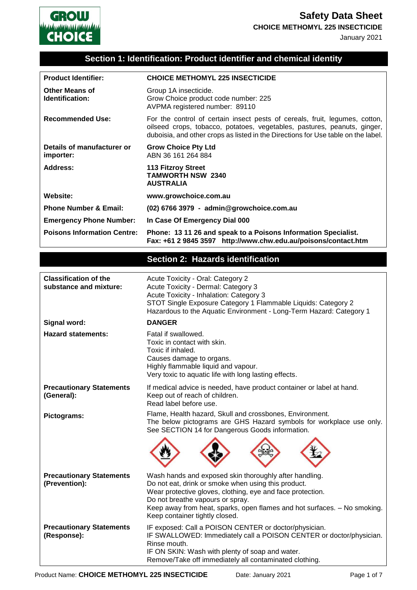

January 2021

### **Section 1: Identification: Product identifier and chemical identity**

| <b>Product Identifier:</b>                             | <b>CHOICE METHOMYL 225 INSECTICIDE</b>                                                                                                                                                                                                                                                                                        |  |
|--------------------------------------------------------|-------------------------------------------------------------------------------------------------------------------------------------------------------------------------------------------------------------------------------------------------------------------------------------------------------------------------------|--|
| <b>Other Means of</b><br>Identification:               | Group 1A insecticide.<br>Grow Choice product code number: 225<br>AVPMA registered number: 89110                                                                                                                                                                                                                               |  |
| <b>Recommended Use:</b>                                | For the control of certain insect pests of cereals, fruit, legumes, cotton,<br>oilseed crops, tobacco, potatoes, vegetables, pastures, peanuts, ginger,<br>duboisia, and other crops as listed in the Directions for Use table on the label.                                                                                  |  |
| Details of manufacturer or<br>importer:                | <b>Grow Choice Pty Ltd</b><br>ABN 36 161 264 884                                                                                                                                                                                                                                                                              |  |
| <b>Address:</b>                                        | <b>113 Fitzroy Street</b><br><b>TAMWORTH NSW 2340</b><br><b>AUSTRALIA</b>                                                                                                                                                                                                                                                     |  |
| Website:                                               | www.growchoice.com.au                                                                                                                                                                                                                                                                                                         |  |
| <b>Phone Number &amp; Email:</b>                       | (02) 6766 3979 - admin@growchoice.com.au                                                                                                                                                                                                                                                                                      |  |
| <b>Emergency Phone Number:</b>                         | In Case Of Emergency Dial 000                                                                                                                                                                                                                                                                                                 |  |
| <b>Poisons Information Centre:</b>                     | Phone: 13 11 26 and speak to a Poisons Information Specialist.<br>Fax: +61 2 9845 3597 http://www.chw.edu.au/poisons/contact.htm                                                                                                                                                                                              |  |
|                                                        | <b>Section 2: Hazards identification</b>                                                                                                                                                                                                                                                                                      |  |
|                                                        |                                                                                                                                                                                                                                                                                                                               |  |
| <b>Classification of the</b><br>substance and mixture: | Acute Toxicity - Oral: Category 2<br>Acute Toxicity - Dermal: Category 3<br>Acute Toxicity - Inhalation: Category 3<br>STOT Single Exposure Category 1 Flammable Liquids: Category 2<br>Hazardous to the Aquatic Environment - Long-Term Hazard: Category 1                                                                   |  |
| Signal word:                                           | <b>DANGER</b>                                                                                                                                                                                                                                                                                                                 |  |
| <b>Hazard statements:</b>                              | Fatal if swallowed.<br>Toxic in contact with skin.<br>Toxic if inhaled.<br>Causes damage to organs.<br>Highly flammable liquid and vapour.<br>Very toxic to aquatic life with long lasting effects.                                                                                                                           |  |
| <b>Precautionary Statements</b><br>(General):          | If medical advice is needed, have product container or label at hand.<br>Keep out of reach of children.<br>Read label before use.                                                                                                                                                                                             |  |
| Pictograms:                                            | Flame, Health hazard, Skull and crossbones, Environment.<br>The below pictograms are GHS Hazard symbols for workplace use only.<br>See SECTION 14 for Dangerous Goods information.                                                                                                                                            |  |
|                                                        |                                                                                                                                                                                                                                                                                                                               |  |
| <b>Precautionary Statements</b><br>(Prevention):       | Wash hands and exposed skin thoroughly after handling.<br>Do not eat, drink or smoke when using this product.<br>Wear protective gloves, clothing, eye and face protection.<br>Do not breathe vapours or spray.<br>Keep away from heat, sparks, open flames and hot surfaces. - No smoking.<br>Keep container tightly closed. |  |
| <b>Precautionary Statements</b><br>(Response):         | IF exposed: Call a POISON CENTER or doctor/physician.<br>IF SWALLOWED: Immediately call a POISON CENTER or doctor/physician.<br>Rinse mouth.                                                                                                                                                                                  |  |

IF ON SKIN: Wash with plenty of soap and water. Remove/Take off immediately all contaminated clothing.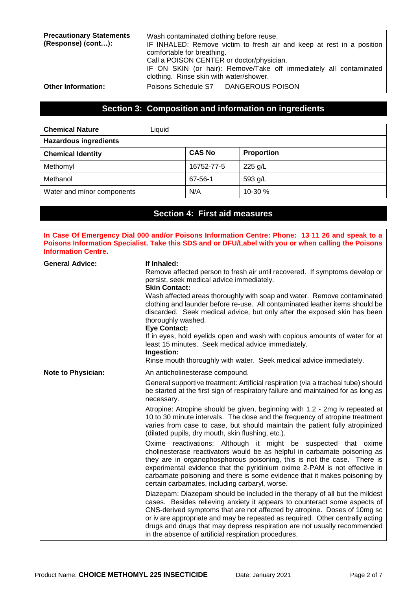| <b>Precautionary Statements</b><br>(Response) (cont): | Wash contaminated clothing before reuse.<br>IF INHALED: Remove victim to fresh air and keep at rest in a position<br>comfortable for breathing.<br>Call a POISON CENTER or doctor/physician.<br>IF ON SKIN (or hair): Remove/Take off immediately all contaminated |
|-------------------------------------------------------|--------------------------------------------------------------------------------------------------------------------------------------------------------------------------------------------------------------------------------------------------------------------|
|                                                       | clothing. Rinse skin with water/shower.                                                                                                                                                                                                                            |
| <b>Other Information:</b>                             | Poisons Schedule S7 DANGEROUS POISON                                                                                                                                                                                                                               |

### **Section 3: Composition and information on ingredients**

| <b>Chemical Nature</b><br>Liquid |               |                   |
|----------------------------------|---------------|-------------------|
| <b>Hazardous ingredients</b>     |               |                   |
| <b>Chemical Identity</b>         | <b>CAS No</b> | <b>Proportion</b> |
| Methomyl                         | 16752-77-5    | 225 g/L           |
| Methanol                         | 67-56-1       | 593 g/L           |
| Water and minor components       | N/A           | 10-30 %           |

### **Section 4: First aid measures**

**In Case Of Emergency Dial 000 and/or Poisons Information Centre: Phone: 13 11 26 and speak to a Poisons Information Specialist. Take this SDS and or DFU/Label with you or when calling the Poisons Information Centre. General Advice: If Inhaled:**  Remove affected person to fresh air until recovered. If symptoms develop or persist, seek medical advice immediately. **Skin Contact:**  Wash affected areas thoroughly with soap and water. Remove contaminated clothing and launder before re-use. All contaminated leather items should be discarded. Seek medical advice, but only after the exposed skin has been thoroughly washed. **Eye Contact:** If in eyes, hold eyelids open and wash with copious amounts of water for at least 15 minutes. Seek medical advice immediately. **Ingestion:** Rinse mouth thoroughly with water. Seek medical advice immediately. Note to Physician: An anticholinesterase compound. General supportive treatment: Artificial respiration (via a tracheal tube) should be started at the first sign of respiratory failure and maintained for as long as necessary. Atropine: Atropine should be given, beginning with 1.2 - 2mg iv repeated at 10 to 30 minute intervals. The dose and the frequency of atropine treatment varies from case to case, but should maintain the patient fully atropinized (dilated pupils, dry mouth, skin flushing, etc.). Oxime reactivations: Although it might be suspected that oxime cholinesterase reactivators would be as helpful in carbamate poisoning as they are in organophosphorous poisoning, this is not the case. There is experimental evidence that the pyridinium oxime 2-PAM is not effective in carbamate poisoning and there is some evidence that it makes poisoning by certain carbamates, including carbaryl, worse. Diazepam: Diazepam should be included in the therapy of all but the mildest cases. Besides relieving anxiety it appears to counteract some aspects of CNS-derived symptoms that are not affected by atropine. Doses of 10mg sc or iv are appropriate and may be repeated as required. Other centrally acting drugs and drugs that may depress respiration are not usually recommended in the absence of artificial respiration procedures.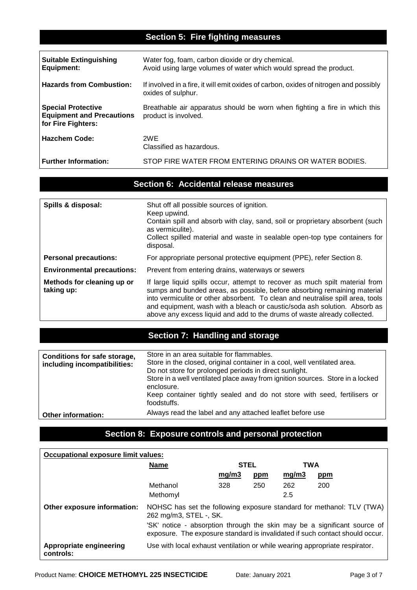# **Section 5: Fire fighting measures**

| <b>Suitable Extinguishing</b><br><b>Equipment:</b>                                  | Water fog, foam, carbon dioxide or dry chemical.<br>Avoid using large volumes of water which would spread the product. |
|-------------------------------------------------------------------------------------|------------------------------------------------------------------------------------------------------------------------|
| <b>Hazards from Combustion:</b>                                                     | If involved in a fire, it will emit oxides of carbon, oxides of nitrogen and possibly<br>oxides of sulphur.            |
| <b>Special Protective</b><br><b>Equipment and Precautions</b><br>for Fire Fighters: | Breathable air apparatus should be worn when fighting a fire in which this<br>product is involved.                     |
| <b>Hazchem Code:</b>                                                                | 2WE<br>Classified as hazardous.                                                                                        |
| <b>Further Information:</b>                                                         | STOP FIRE WATER FROM ENTERING DRAINS OR WATER BODIES.                                                                  |

# **Section 6: Accidental release measures**

| Spills & disposal:                       | Shut off all possible sources of ignition.<br>Keep upwind.<br>Contain spill and absorb with clay, sand, soil or proprietary absorbent (such<br>as vermiculite).<br>Collect spilled material and waste in sealable open-top type containers for<br>disposal.                                                                                                                                         |
|------------------------------------------|-----------------------------------------------------------------------------------------------------------------------------------------------------------------------------------------------------------------------------------------------------------------------------------------------------------------------------------------------------------------------------------------------------|
| <b>Personal precautions:</b>             | For appropriate personal protective equipment (PPE), refer Section 8.                                                                                                                                                                                                                                                                                                                               |
| <b>Environmental precautions:</b>        | Prevent from entering drains, waterways or sewers                                                                                                                                                                                                                                                                                                                                                   |
| Methods for cleaning up or<br>taking up: | If large liquid spills occur, attempt to recover as much spilt material from<br>sumps and bunded areas, as possible, before absorbing remaining material<br>into vermiculite or other absorbent. To clean and neutralise spill area, tools<br>and equipment, wash with a bleach or caustic/soda ash solution. Absorb as<br>above any excess liquid and add to the drums of waste already collected. |

# **Section 7: Handling and storage**

| <b>Conditions for safe storage,</b><br>including incompatibilities: | Store in an area suitable for flammables.<br>Store in the closed, original container in a cool, well ventilated area.<br>Do not store for prolonged periods in direct sunlight.<br>Store in a well ventilated place away from ignition sources. Store in a locked<br>enclosure.<br>Keep container tightly sealed and do not store with seed, fertilisers or<br>foodstuffs. |  |
|---------------------------------------------------------------------|----------------------------------------------------------------------------------------------------------------------------------------------------------------------------------------------------------------------------------------------------------------------------------------------------------------------------------------------------------------------------|--|
| <b>Other information:</b>                                           | Always read the label and any attached leaflet before use                                                                                                                                                                                                                                                                                                                  |  |

### **Section 8: Exposure controls and personal protection**

| <b>Occupational exposure limit values:</b> |                                                                                                 |             |     |       |                                                                                                                                                          |
|--------------------------------------------|-------------------------------------------------------------------------------------------------|-------------|-----|-------|----------------------------------------------------------------------------------------------------------------------------------------------------------|
|                                            | <b>Name</b>                                                                                     | <b>STEL</b> |     | TWA   |                                                                                                                                                          |
|                                            |                                                                                                 | mg/m3       | ppm | mg/m3 | ppm                                                                                                                                                      |
|                                            | Methanol                                                                                        | 328         | 250 | 262   | 200                                                                                                                                                      |
|                                            | Methomyl                                                                                        |             |     | 2.5   |                                                                                                                                                          |
| Other exposure information:                | NOHSC has set the following exposure standard for methanol: TLV (TWA)<br>262 mg/m3, STEL -, SK. |             |     |       |                                                                                                                                                          |
|                                            |                                                                                                 |             |     |       | 'SK' notice - absorption through the skin may be a significant source of<br>exposure. The exposure standard is invalidated if such contact should occur. |
| Appropriate engineering<br>controls:       | Use with local exhaust ventilation or while wearing appropriate respirator.                     |             |     |       |                                                                                                                                                          |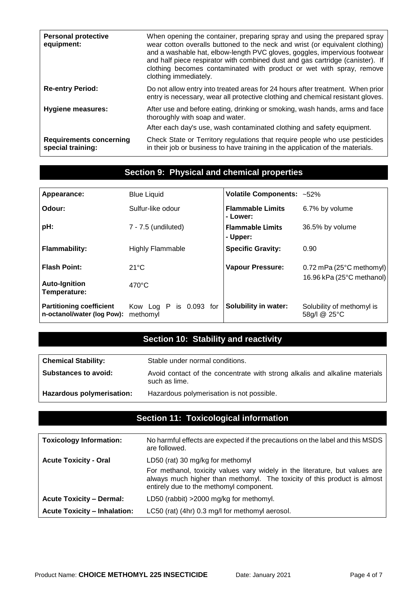| <b>Personal protective</b><br>equipment:            | When opening the container, preparing spray and using the prepared spray<br>wear cotton overalls buttoned to the neck and wrist (or equivalent clothing)<br>and a washable hat, elbow-length PVC gloves, goggles, impervious footwear<br>and half piece respirator with combined dust and gas cartridge (canister). If<br>clothing becomes contaminated with product or wet with spray, remove<br>clothing immediately. |
|-----------------------------------------------------|-------------------------------------------------------------------------------------------------------------------------------------------------------------------------------------------------------------------------------------------------------------------------------------------------------------------------------------------------------------------------------------------------------------------------|
| <b>Re-entry Period:</b>                             | Do not allow entry into treated areas for 24 hours after treatment. When prior<br>entry is necessary, wear all protective clothing and chemical resistant gloves.                                                                                                                                                                                                                                                       |
| <b>Hygiene measures:</b>                            | After use and before eating, drinking or smoking, wash hands, arms and face<br>thoroughly with soap and water.<br>After each day's use, wash contaminated clothing and safety equipment.                                                                                                                                                                                                                                |
| <b>Requirements concerning</b><br>special training: | Check State or Territory regulations that require people who use pesticides<br>in their job or business to have training in the application of the materials.                                                                                                                                                                                                                                                           |

# **Section 9: Physical and chemical properties**

| Appearance:                                                   | <b>Blue Liquid</b>                    | Volatile Components: ~52%           |                                           |
|---------------------------------------------------------------|---------------------------------------|-------------------------------------|-------------------------------------------|
| Odour:                                                        | Sulfur-like odour                     | <b>Flammable Limits</b><br>- Lower: | 6.7% by volume                            |
| pH:                                                           | 7 - 7.5 (undiluted)                   | <b>Flammable Limits</b><br>- Upper: | 36.5% by volume                           |
| <b>Flammability:</b>                                          | <b>Highly Flammable</b>               | <b>Specific Gravity:</b>            | 0.90                                      |
| <b>Flash Point:</b>                                           | $21^{\circ}$ C                        | <b>Vapour Pressure:</b>             | 0.72 mPa (25°C methomyl)                  |
| <b>Auto-Ignition</b><br>Temperature:                          | $470^{\circ}$ C                       |                                     | 16.96 kPa (25°C methanol)                 |
| <b>Partitioning coefficient</b><br>n-octanol/water (log Pow): | is 0.093 for<br>Kow Log P<br>methomyl | <b>Solubility in water:</b>         | Solubility of methomyl is<br>58g/l @ 25°C |

# **Section 10: Stability and reactivity**

| <b>Chemical Stability:</b>  | Stable under normal conditions.                                                              |
|-----------------------------|----------------------------------------------------------------------------------------------|
| <b>Substances to avoid:</b> | Avoid contact of the concentrate with strong alkalis and alkaline materials<br>such as lime. |
| Hazardous polymerisation:   | Hazardous polymerisation is not possible.                                                    |

# **Section 11: Toxicological information**

| <b>Toxicology Information:</b>      | No harmful effects are expected if the precautions on the label and this MSDS<br>are followed.                                                                                                     |
|-------------------------------------|----------------------------------------------------------------------------------------------------------------------------------------------------------------------------------------------------|
| <b>Acute Toxicity - Oral</b>        | LD50 (rat) 30 mg/kg for methomyl                                                                                                                                                                   |
|                                     | For methanol, toxicity values vary widely in the literature, but values are<br>always much higher than methomyl. The toxicity of this product is almost<br>entirely due to the methomyl component. |
| <b>Acute Toxicity - Dermal:</b>     | LD50 (rabbit) > 2000 mg/kg for methomyl.                                                                                                                                                           |
| <b>Acute Toxicity - Inhalation:</b> | LC50 (rat) (4hr) 0.3 mg/l for methomyl aerosol.                                                                                                                                                    |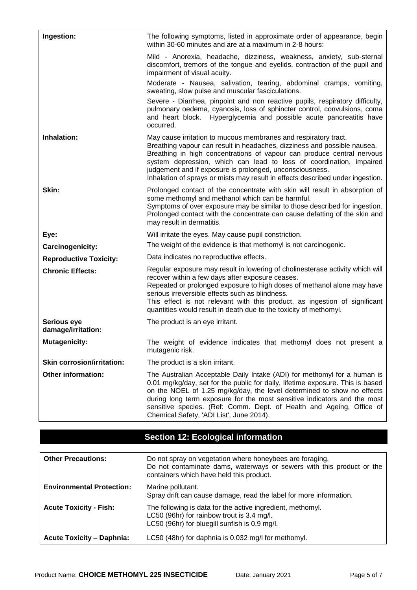| Ingestion:                        | The following symptoms, listed in approximate order of appearance, begin<br>within 30-60 minutes and are at a maximum in 2-8 hours:                                                                                                                                                                                                                                                                                                        |
|-----------------------------------|--------------------------------------------------------------------------------------------------------------------------------------------------------------------------------------------------------------------------------------------------------------------------------------------------------------------------------------------------------------------------------------------------------------------------------------------|
|                                   | Mild - Anorexia, headache, dizziness, weakness, anxiety, sub-sternal<br>discomfort, tremors of the tongue and eyelids, contraction of the pupil and<br>impairment of visual acuity.                                                                                                                                                                                                                                                        |
|                                   | Moderate - Nausea, salivation, tearing, abdominal cramps, vomiting,<br>sweating, slow pulse and muscular fasciculations.                                                                                                                                                                                                                                                                                                                   |
|                                   | Severe - Diarrhea, pinpoint and non reactive pupils, respiratory difficulty,<br>pulmonary oedema, cyanosis, loss of sphincter control, convulsions, coma<br>and heart block. Hyperglycemia and possible acute pancreatitis have<br>occurred.                                                                                                                                                                                               |
| Inhalation:                       | May cause irritation to mucous membranes and respiratory tract.<br>Breathing vapour can result in headaches, dizziness and possible nausea.<br>Breathing in high concentrations of vapour can produce central nervous<br>system depression, which can lead to loss of coordination, impaired<br>judgement and if exposure is prolonged, unconsciousness.<br>Inhalation of sprays or mists may result in effects described under ingestion. |
| Skin:                             | Prolonged contact of the concentrate with skin will result in absorption of<br>some methomyl and methanol which can be harmful.<br>Symptoms of over exposure may be similar to those described for ingestion.<br>Prolonged contact with the concentrate can cause defatting of the skin and<br>may result in dermatitis.                                                                                                                   |
| Eye:                              | Will irritate the eyes. May cause pupil constriction.                                                                                                                                                                                                                                                                                                                                                                                      |
| Carcinogenicity:                  | The weight of the evidence is that methomyl is not carcinogenic.                                                                                                                                                                                                                                                                                                                                                                           |
| <b>Reproductive Toxicity:</b>     | Data indicates no reproductive effects.                                                                                                                                                                                                                                                                                                                                                                                                    |
| <b>Chronic Effects:</b>           | Regular exposure may result in lowering of cholinesterase activity which will<br>recover within a few days after exposure ceases.<br>Repeated or prolonged exposure to high doses of methanol alone may have<br>serious irreversible effects such as blindness.<br>This effect is not relevant with this product, as ingestion of significant<br>quantities would result in death due to the toxicity of methomyl.                         |
| Serious eye<br>damage/irritation: | The product is an eye irritant.                                                                                                                                                                                                                                                                                                                                                                                                            |
| <b>Mutagenicity:</b>              | The weight of evidence indicates that methomyl does not present a<br>mutagenic risk.                                                                                                                                                                                                                                                                                                                                                       |
| <b>Skin corrosion/irritation:</b> | The product is a skin irritant.                                                                                                                                                                                                                                                                                                                                                                                                            |
| <b>Other information:</b>         | The Australian Acceptable Daily Intake (ADI) for methomyl for a human is<br>0.01 mg/kg/day, set for the public for daily, lifetime exposure. This is based<br>on the NOEL of 1.25 mg/kg/day, the level determined to show no effects<br>during long term exposure for the most sensitive indicators and the most<br>sensitive species. (Ref: Comm. Dept. of Health and Ageing, Office of<br>Chemical Safety, 'ADI List', June 2014).       |

# **Section 12: Ecological information**

| <b>Other Precautions:</b>        | Do not spray on vegetation where honeybees are foraging.<br>Do not contaminate dams, waterways or sewers with this product or the<br>containers which have held this product. |
|----------------------------------|-------------------------------------------------------------------------------------------------------------------------------------------------------------------------------|
| <b>Environmental Protection:</b> | Marine pollutant.<br>Spray drift can cause damage, read the label for more information.                                                                                       |
| <b>Acute Toxicity - Fish:</b>    | The following is data for the active ingredient, methomyl.<br>LC50 (96hr) for rainbow trout is 3.4 mg/l.<br>LC50 (96hr) for bluegill sunfish is 0.9 mg/l.                     |
| <b>Acute Toxicity - Daphnia:</b> | LC50 (48hr) for daphnia is 0.032 mg/l for methomyl.                                                                                                                           |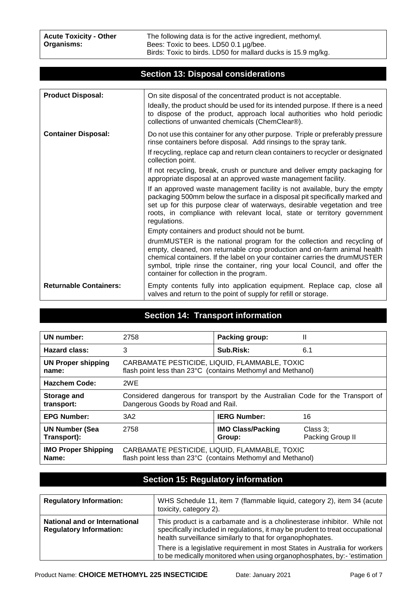The following data is for the active ingredient, methomyl. Bees: Toxic to bees. LD50 0.1 µg/bee. Birds: Toxic to birds. LD50 for mallard ducks is 15.9 mg/kg.

|                               | oconon 19. Disposal considerations                                                                                                                                                                                                                                                                                                                         |
|-------------------------------|------------------------------------------------------------------------------------------------------------------------------------------------------------------------------------------------------------------------------------------------------------------------------------------------------------------------------------------------------------|
|                               |                                                                                                                                                                                                                                                                                                                                                            |
| <b>Product Disposal:</b>      | On site disposal of the concentrated product is not acceptable.                                                                                                                                                                                                                                                                                            |
|                               | Ideally, the product should be used for its intended purpose. If there is a need<br>to dispose of the product, approach local authorities who hold periodic<br>collections of unwanted chemicals (ChemClear®).                                                                                                                                             |
| <b>Container Disposal:</b>    | Do not use this container for any other purpose. Triple or preferably pressure<br>rinse containers before disposal. Add rinsings to the spray tank.                                                                                                                                                                                                        |
|                               | If recycling, replace cap and return clean containers to recycler or designated<br>collection point.                                                                                                                                                                                                                                                       |
|                               | If not recycling, break, crush or puncture and deliver empty packaging for<br>appropriate disposal at an approved waste management facility.                                                                                                                                                                                                               |
|                               | If an approved waste management facility is not available, bury the empty<br>packaging 500mm below the surface in a disposal pit specifically marked and<br>set up for this purpose clear of waterways, desirable vegetation and tree<br>roots, in compliance with relevant local, state or territory government<br>regulations.                           |
|                               | Empty containers and product should not be burnt.                                                                                                                                                                                                                                                                                                          |
|                               | drumMUSTER is the national program for the collection and recycling of<br>empty, cleaned, non returnable crop production and on-farm animal health<br>chemical containers. If the label on your container carries the drumMUSTER<br>symbol, triple rinse the container, ring your local Council, and offer the<br>container for collection in the program. |
| <b>Returnable Containers:</b> | Empty contents fully into application equipment. Replace cap, close all<br>valves and return to the point of supply for refill or storage.                                                                                                                                                                                                                 |

# **Section 13: Disposal considerations**

### **Section 14: Transport information**

| UN number:                 | 2758                                                                           | <b>Packing group:</b>    | Ш                |
|----------------------------|--------------------------------------------------------------------------------|--------------------------|------------------|
| Hazard class:              | 3                                                                              | Sub.Risk:                | 6.1              |
| <b>UN Proper shipping</b>  | CARBAMATE PESTICIDE, LIQUID, FLAMMABLE, TOXIC                                  |                          |                  |
| name:                      | flash point less than 23°C (contains Methomyl and Methanol)                    |                          |                  |
| <b>Hazchem Code:</b>       | 2WE                                                                            |                          |                  |
| Storage and                | Considered dangerous for transport by the Australian Code for the Transport of |                          |                  |
| transport:                 | Dangerous Goods by Road and Rail.                                              |                          |                  |
| <b>EPG Number:</b>         | 3A2                                                                            | <b>IERG Number:</b>      | 16               |
| <b>UN Number (Sea</b>      | 2758                                                                           | <b>IMO Class/Packing</b> | Class $3$ ;      |
| Transport):                |                                                                                | Group:                   | Packing Group II |
| <b>IMO Proper Shipping</b> | CARBAMATE PESTICIDE, LIQUID, FLAMMABLE, TOXIC                                  |                          |                  |
| Name:                      | flash point less than 23°C (contains Methomyl and Methanol)                    |                          |                  |

### **Section 15: Regulatory information**

| <b>Regulatory Information:</b>                                         | WHS Schedule 11, item 7 (flammable liquid, category 2), item 34 (acute<br>toxicity, category 2).                                                                                                                        |
|------------------------------------------------------------------------|-------------------------------------------------------------------------------------------------------------------------------------------------------------------------------------------------------------------------|
| <b>National and or International</b><br><b>Regulatory Information:</b> | This product is a carbamate and is a cholinesterase inhibitor. While not<br>specifically included in regulations, it may be prudent to treat occupational<br>health surveillance similarly to that for organophophates. |
|                                                                        | There is a legislative requirement in most States in Australia for workers<br>to be medically monitored when using organophosphates, by:- 'estimation                                                                   |